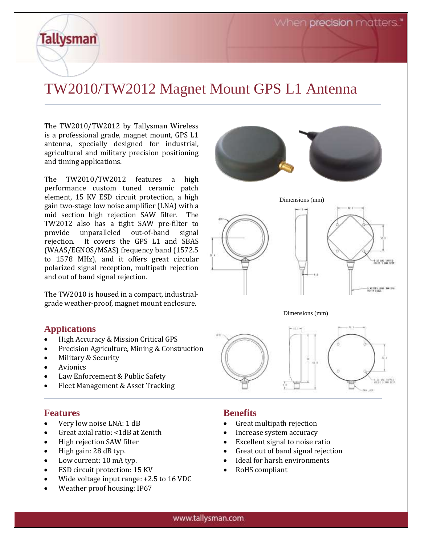# TW2010/TW2012 Magnet Mount GPS L1 Antenna

The TW2010/TW2012 by Tallysman Wireless is a professional grade, magnet mount, GPS L1 antenna, specially designed for industrial, agricultural and military precision positioning and timing applications.

The TW2010/TW2012 features a high performance custom tuned ceramic patch element, 15 KV ESD circuit protection, a high gain two-stage low noise amplifier (LNA) with a mid section high rejection SAW filter. The TW2012 also has a tight SAW pre-filter to provide unparalleled out-of-band signal rejection. It covers the GPS L1 and SBAS (WAAS/EGNOS/MSAS) frequency band (1572.5 to 1578 MHz), and it offers great circular polarized signal reception, multipath rejection and out of band signal rejection.

The TW2010 is housed in a compact, industrialgrade weather-proof, magnet mount enclosure.

#### **Applications**

**Tallysman** 

- High Accuracy & Mission Critical GPS
- Precision Agriculture, Mining & Construction
- Military & Security
- **Avionics**
- Law Enforcement & Public Safety
- Fleet Management & Asset Tracking

### **Features**

- Very low noise LNA: 1 dB
- Great axial ratio: <1dB at Zenith
- High rejection SAW filter
- High gain: 28 dB typ.
- Low current: 10 mA typ.
- ESD circuit protection: 15 KV
- Wide voltage input range: +2.5 to 16 VDC
- Weather proof housing: IP67

### **Benefits**

- Great multipath rejection
- Increase system accuracy
- Excellent signal to noise ratio
- Great out of band signal rejection
- Ideal for harsh environments
- RoHS compliant

Dimensions (mm)

.<br>Grie Cabil<br>Grie Cabil

Dimensions (mm)